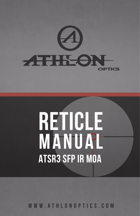

# RETICLE<br>MANUAL **ATSR3 SFP IR MOA**

WWW.ATHLONOPTICS.COM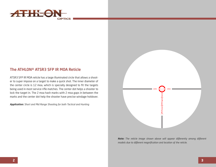

# The ATHLON® ATSR3 SFP IR MOA Reticle

ATSR3 SFP IR MOA reticle has a large illuminated circle that allows a shooter to super impose on a target to make a quick shot. The inner diameter of the center circle is 12 moa, which is specially designed to fit the targets being used in most service rifle matches. The center dot helps a shooter to lock the target in. The 2 moa hash marks with 2 moa gaps in between the marks and the center dot help the shooter have precise windage holdover.

*Application: Short and Mid Range Shooting for both Tactical and Hunting*



*Note: The reticle image shown above will appear differently among different models due to different magnification and location of the reticle.*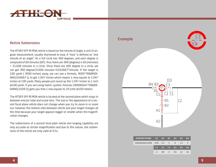

#### Reticle Subtensions

The ATSR3 SFP IR MOA reticle is based on the minute of angle, a unit of angular measurement, usually shortened to moa. A "moa" is defined as "one minute of an angle". As a full circle has 360 degrees, and each degree is composed of 60 minutes (60'). thus there are 360 (degrees) x 60 (minutes) = 21,600 minutes in a circle. Since there are 360 degree in a circle, we can get 360 degree/21600 minutes=0.016667°/minute. If the target is 100 yards ( 3600 inches) away, we can use a formula, 3600\*TAN(RADI-ANS(.016667 )), to get 1.047 inches which means 1 moa equals to 1.047 inches at 100 yards. Many people just round up the 1.047 inches to 1 inch @100 yards. If you are using metric system, formula 100000mm\*TAN(RA-DIANS(.01667)) gets you that 1 moa equals to 29.1mm @100 meters.

The ATSR3 SFP IR MOA reticle is located at the second plane which stays in between erector tube and ocular lens. The size or the appearance of a second focal plane reticle does not change when you try to zoom in or zoom out, however the relative ratio between reticle and your target changes all the time because your target appears bigger or smaller when the magnification changes.

The subtensions of a second focal plain reticle and ranging capability are only accurate at certain magnification and due to this nature, the subtensions of the reticle are only valid at 4.5x.

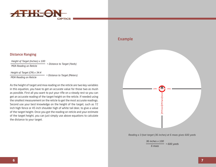

#### Distance Ranging

*Height of Target (Inches) x 100 MOA Reading on Reticle*

*= Distance to Target (Yards)*

*Height of Target (CM) x 34.4*

*MOA Reading on Reticle = Distance to Target (Meters)*

As the height of target and moa reading on the reticle are two key variables in this equation, you have to get an accurate value for those two as mush as possible. First all you want to put your rifle on a steady rest so you can get an accurate reading of the target height on the reticle. If needed using the smallest measurement on the reticle to get the most accurate readings. Second use your best knowledge on the height of the target, such as 72 inch high fence or 45 inch shoulder high of white tail deer, to give a value of the target height. Once you got the reading on reticle and your estimate of the target height, you can just simply use above equations to calculate the distance to your target.

# Example



*Reading a 3-foot target (36 inches) at 6 moas gives 600 yards*

*36 inches x 100 6 moas = 600 yards*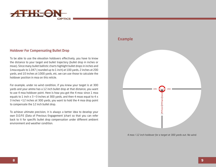

#### Holdover For Compensating Bullet Drop

To be able to use the elevation holdovers effectively, you have to know the distance to your target and bullet trajectory (bullet drop in inches or moas). Since many bullet ballistic charts highlight bullet drops in inches and 1moa equals to 1.047 ( rounded up to 1 inch) at 100 yards, 2 inches at 200 yards, and 10 inches at 1000 yards, etc, we can use those to calculate the holdover position in moa on this reticle.

For example, under no wind condition, if you knew your target is at 300 yards and your ammo has a 12 inch bullet drop at that distance, you want to use 4 moa holdover point. Here is how you got the 4 moa: since 1 moa equals to 1 inch  $x$  3 = 3 inches at 300 yards, and then 4 moas equal to 4  $x$ 3 inches =12 inches at 300 yards, you want to hold the 4 moa drop point to compensate the 12 inch bullet drop.

To achieve ultimate precision, it is always a better idea to develop your own D.O.P.E (Data of Previous Engagement )chart so that you can refer back to it for specific bullet drop compensation under different ambient environment and weather condition.

## Example



*4 moa / 12 inch holdover for a target at 300 yards out. No wind.*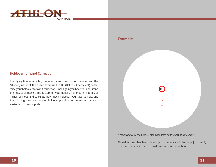

## Holdover for Wind Correction

The flying time of a bullet, the velocity and direction of the wind and the "slippery-ness" of the bullet expressed in BC (Ballistic Coefficient) determine your holdover for wind correction. Once again you have to understand the impact of those three factors on your bullet's flying path in terms of inches or moas and calculate how much holdover you have to hold, and then finding the corresponding holdover position on the reticle is a much easier task to accomplish.

## Example



*4 moa wind correction for 10 mph wind from right to left at 400 yards*

Elevation turret has been dialed up to compensate bullet drop, just simply use the 2 moa hash mark to hold over for wind correction.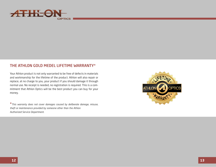

# THE ATHLON GOLD MEDEL LIFETIME WARRANTY\*

Your Athlon product is not only warranted to be free of defects in materials and workmanship for the lifetime of the product. Athlon will also repair or replace, at no charge to you, your product if you should damage it through normal use. No receipt is needed, no registration is required. This is a commitment that Athlon Optics will be the best product you can buy for your money.

\**This warranty does not cover damages caused by deliberate damage, misuse, theft or maintenance provided by someone other than the Athlon Authorized Service Department.*